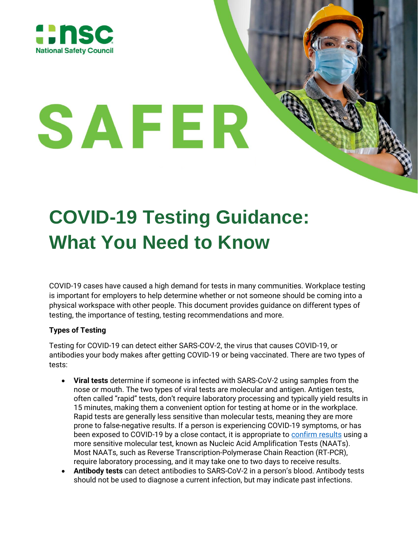

# **COVID-19 Testing Guidance: What You Need to Know**

SAFER

COVID-19 cases have caused a high demand for tests in many communities. Workplace testing is important for employers to help determine whether or not someone should be coming into a physical workspace with other people. This document provides guidance on different types of testing, the importance of testing, testing recommendations and more.

# **Types of Testing**

Testing for COVID-19 can detect either SARS-COV-2, the virus that causes COVID-19, or antibodies your body makes after getting COVID-19 or being vaccinated. There are two types of tests:

- **Viral tests** determine if someone is infected with SARS-CoV-2 using samples from the nose or mouth. The two types of viral tests are molecular and antigen. Antigen tests, often called "rapid" tests, don't require laboratory processing and typically yield results in 15 minutes, making them a convenient option for testing at home or in the workplace. Rapid tests are generally less sensitive than molecular tests, meaning they are more prone to false-negative results. If a person is experiencing COVID-19 symptoms, or has been exposed to COVID-19 by a close contact, it is appropriate to [confirm results](https://www.cdc.gov/coronavirus/2019-ncov/lab/resources/Antigen_Testing_Algorithm_2020-12-14_v03_NO_DRAFT_SPW_508.pdf) using a more sensitive molecular test, known as Nucleic Acid Amplification Tests (NAATs). Most NAATs, such as Reverse Transcription-Polymerase Chain Reaction (RT-PCR), require laboratory processing, and it may take one to two days to receive results.
- **Antibody tests** can detect antibodies to SARS-CoV-2 in a person's blood. Antibody tests should not be used to diagnose a current infection, but may indicate past infections.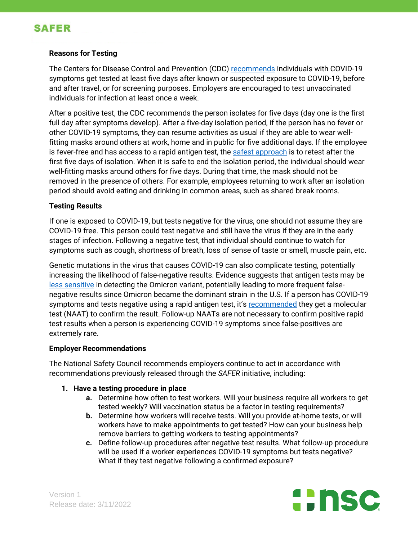# **SAFER**

### **Reasons for Testing**

The Centers for Disease Control and Prevention (CDC) [recommends](https://www.cdc.gov/coronavirus/2019-ncov/symptoms-testing/testing.html) individuals with COVID-19 symptoms get tested at least five days after known or suspected exposure to COVID-19, before and after travel, or for screening purposes. Employers are encouraged to test unvaccinated individuals for infection at least once a week.

After a positive test, the CDC recommends the person isolates for five days (day one is the first full day after symptoms develop). After a five-day isolation period, if the person has no fever or other COVID-19 symptoms, they can resume activities as usual if they are able to wear wellfitting masks around others at work, home and in public for five additional days. If the employee is fever-free and has access to a rapid antigen test, the [safest approach](https://www.cdc.gov/coronavirus/2019-ncov/your-health/quarantine-isolation.html#isolation) is to retest after the first five days of isolation. When it is safe to end the isolation period, the individual should wear well-fitting masks around others for five days. During that time, the mask should not be removed in the presence of others. For example, employees returning to work after an isolation period should avoid eating and drinking in common areas, such as shared break rooms.

#### **Testing Results**

If one is exposed to COVID-19, but tests negative for the virus, one should not assume they are COVID-19 free. This person could test negative and still have the virus if they are in the early stages of infection. Following a negative test, that individual should continue to watch for symptoms such as cough, shortness of breath, loss of sense of taste or smell, muscle pain, etc.

Genetic mutations in the virus that causes COVID-19 can also complicate testing, potentially increasing the likelihood of false-negative results. Evidence suggests that antigen tests may be [less sensitive](https://www.fda.gov/medical-devices/coronavirus-covid-19-and-medical-devices/sars-cov-2-viral-mutations-impact-covid-19-tests#omicronvariantimpact) in detecting the Omicron variant, potentially leading to more frequent falsenegative results since Omicron became the dominant strain in the U.S. If a person has COVID-19 symptoms and tests negative using a rapid antigen test, it's [recommended](https://www.cdc.gov/coronavirus/2019-ncov/lab/resources/Antigen_Testing_Algorithm_2020-12-14_v03_NO_DRAFT_SPW_508.pdf) they get a molecular test (NAAT) to confirm the result. Follow-up NAATs are not necessary to confirm positive rapid test results when a person is experiencing COVID-19 symptoms since false-positives are extremely rare.

#### **Employer Recommendations**

The National Safety Council recommends employers continue to act in accordance with recommendations previously released through the *SAFER* initiative, including:

#### **1. Have a testing procedure in place**

- **a.** Determine how often to test workers. Will your business require all workers to get tested weekly? Will vaccination status be a factor in testing requirements?
- **b.** Determine how workers will receive tests. Will you provide at-home tests, or will workers have to make appointments to get tested? How can your business help remove barriers to getting workers to testing appointments?
- **c.** Define follow-up procedures after negative test results. What follow-up procedure will be used if a worker experiences COVID-19 symptoms but tests negative? What if they test negative following a confirmed exposure?